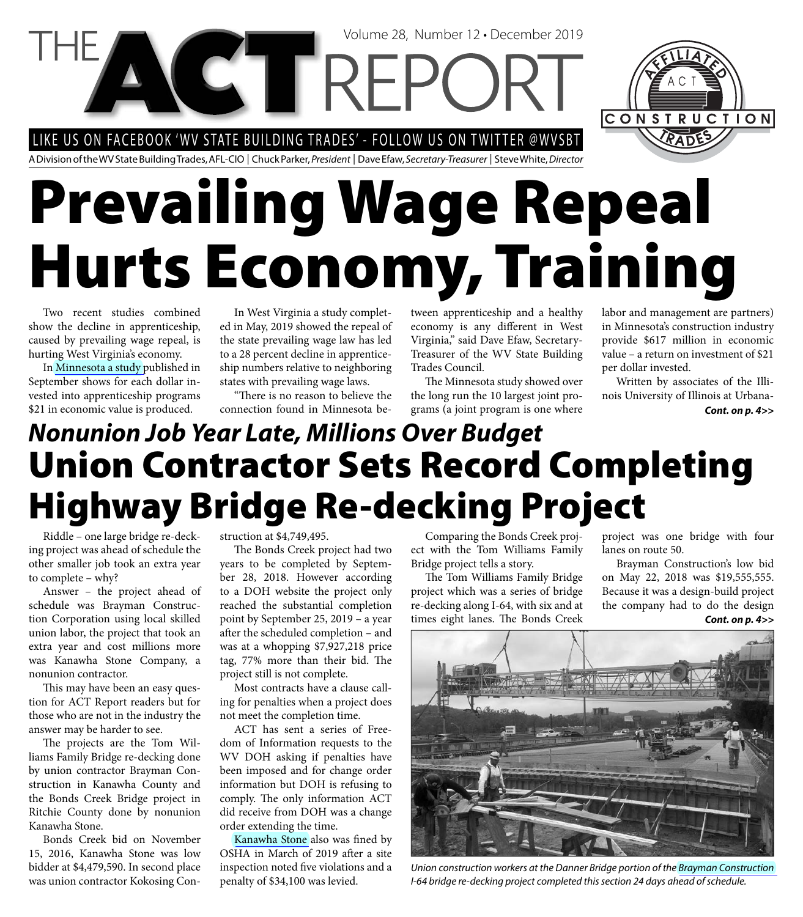LIKE US ON FACEBOOK 'WV STATE BUILDING TRADES' - FOLLOW US ON TWITTER @WVSBT

**CETTREP** 

A Division of the WV State Building Trades, AFL-CIO | Chuck Parker, President | Dave Efaw, Secretary-Treasurer | Steve White, Director

# **Prevailing Wage Repeal Hurts Economy, Training**

Two recent studies combined show the decline in apprenticeship, caused by prevailing wage repeal, is hurting West Virginia's economy.

In [Minnesota a study p](http://www.actwv.org/library/WisconsinandMinnesota_EPI.pdf)ublished in September shows for each dollar invested into apprenticeship programs \$21 in economic value is produced.

In West Virginia a study completed in May, 2019 showed the repeal of the state prevailing wage law has led to a 28 percent decline in apprenticeship numbers relative to neighboring states with prevailing wage laws.

"There is no reason to believe the connection found in Minnesota between apprenticeship and a healthy economy is any different in West Virginia," said Dave Efaw, Secretary-Treasurer of the WV State Building Trades Council.

Volume 28, Number 12 • December 2019

The Minnesota study showed over the long run the 10 largest joint programs (a joint program is one where

labor and management are partners) in Minnesota's construction industry provide \$617 million in economic value – a return on investment of \$21 per dollar invested.

CONSTRUCTION

Written by associates of the Illinois University of Illinois at Urbana-*Cont. on p. 4>>*

#### *Nonunion Job Year Late, Millions Over Budget* **Union Contractor Sets Record Completing Highway Bridge Re-decking Project**

Riddle – one large bridge re-decking project was ahead of schedule the other smaller job took an extra year to complete – why?

Answer – the project ahead of schedule was Brayman Construction Corporation using local skilled union labor, the project that took an extra year and cost millions more was Kanawha Stone Company, a nonunion contractor.

This may have been an easy question for ACT Report readers but for those who are not in the industry the answer may be harder to see.

The projects are the Tom Williams Family Bridge re-decking done by union contractor Brayman Construction in Kanawha County and the Bonds Creek Bridge project in Ritchie County done by nonunion Kanawha Stone.

Bonds Creek bid on November 15, 2016, Kanawha Stone was low bidder at \$4,479,590. In second place was union contractor Kokosing Construction at \$4,749,495.

The Bonds Creek project had two years to be completed by September 28, 2018. However according to a DOH website the project only reached the substantial completion point by September 25, 2019 – a year after the scheduled completion – and was at a whopping \$7,927,218 price tag, 77% more than their bid. The project still is not complete.

Most contracts have a clause calling for penalties when a project does not meet the completion time.

ACT has sent a series of Freedom of Information requests to the WV DOH asking if penalties have been imposed and for change order information but DOH is refusing to comply. The only information ACT did receive from DOH was a change order extending the time.

[Kanawha Stone](http://www.kanawhastone.com/) also was fined by OSHA in March of 2019 after a site inspection noted five violations and a penalty of \$34,100 was levied.

Comparing the Bonds Creek project with the Tom Williams Family Bridge project tells a story.

The Tom Williams Family Bridge project which was a series of bridge re-decking along I-64, with six and at times eight lanes. The Bonds Creek

project was one bridge with four lanes on route 50.

Brayman Construction's low bid on May 22, 2018 was \$19,555,555. Because it was a design-build project the company had to do the design *Cont. on p. 4>>*



Union construction workers at the Danner Bridge portion of the [Brayman Construction](https://brayman.com/)  I-64 bridge re-decking project completed this section 24 days ahead of schedule.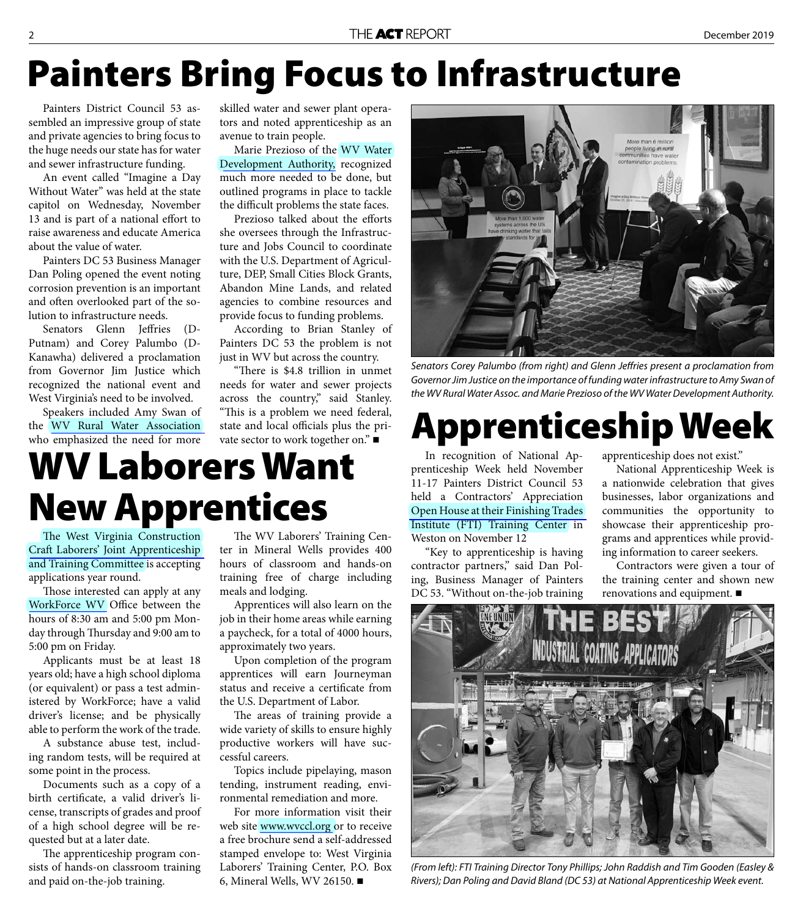### **Painters Bring Focus to Infrastructure**

Painters District Council 53 assembled an impressive group of state and private agencies to bring focus to the huge needs our state has for water and sewer infrastructure funding.

An event called "Imagine a Day Without Water" was held at the state capitol on Wednesday, November 13 and is part of a national effort to raise awareness and educate America about the value of water.

Painters DC 53 Business Manager Dan Poling opened the event noting corrosion prevention is an important and often overlooked part of the solution to infrastructure needs.

Senators Glenn Jeffries (D-Putnam) and Corey Palumbo (D-Kanawha) delivered a proclamation from Governor Jim Justice which recognized the national event and West Virginia's need to be involved.

Speakers included Amy Swan of the [WV Rural Water Association](http://www.wvrwa.org/)  who emphasized the need for more skilled water and sewer plant operators and noted apprenticeship as an avenue to train people.

Marie Prezioso of the WV Water [Development Authority,](http://www.wvwda.org/) recognized much more needed to be done, but outlined programs in place to tackle the difficult problems the state faces.

Prezioso talked about the efforts she oversees through the Infrastructure and Jobs Council to coordinate with the U.S. Department of Agriculture, DEP, Small Cities Block Grants, Abandon Mine Lands, and related agencies to combine resources and provide focus to funding problems.

According to Brian Stanley of Painters DC 53 the problem is not just in WV but across the country.

"There is \$4.8 trillion in unmet needs for water and sewer projects across the country," said Stanley. "This is a problem we need federal, state and local officials plus the private sector to work together on."

#### **WV Laborers Want New Apprentices**

The West Virginia Construction [Craft Laborers' Joint Apprenticeship](http://wvapprenticeships.com/wv-laborers-training-center/)  and Training Committee is accepting applications year round.

Those interested can apply at any [WorkForce WV](https://workforcewv.org/) Office between the hours of 8:30 am and 5:00 pm Monday through Thursday and 9:00 am to 5:00 pm on Friday.

Applicants must be at least 18 years old; have a high school diploma (or equivalent) or pass a test administered by WorkForce; have a valid driver's license; and be physically able to perform the work of the trade.

A substance abuse test, including random tests, will be required at some point in the process.

Documents such as a copy of a birth certificate, a valid driver's license, transcripts of grades and proof of a high school degree will be requested but at a later date.

The apprenticeship program consists of hands-on classroom training and paid on-the-job training.

The WV Laborers' Training Center in Mineral Wells provides 400 hours of classroom and hands-on training free of charge including meals and lodging.

Apprentices will also learn on the job in their home areas while earning a paycheck, for a total of 4000 hours, approximately two years.

Upon completion of the program apprentices will earn Journeyman status and receive a certificate from the U.S. Department of Labor.

The areas of training provide a wide variety of skills to ensure highly productive workers will have successful careers.

Topics include pipelaying, mason tending, instrument reading, environmental remediation and more.

For more information visit their web site [www.wvccl.org](http://www.wvccl.org) or to receive a free brochure send a self-addressed stamped envelope to: West Virginia Laborers' Training Center, P.O. Box 6, Mineral Wells, WV 26150.



Senators Corey Palumbo (from right) and Glenn Jeffries present a proclamation from Governor Jim Justice on the importance of funding water infrastructure to Amy Swan of the WV Rural Water Assoc. and Marie Prezioso of the WV Water Development Authority.

#### **Apprenticeship Week**

In recognition of National Apprenticeship Week held November 11-17 Painters District Council 53 held a Contractors' Appreciation [Open House at their Finishing Trades](https://iupatdc53.org/education-training/)  Institute (FTI) Training Center in Weston on November 12

"Key to apprenticeship is having contractor partners," said Dan Poling, Business Manager of Painters DC 53. "Without on-the-job training

apprenticeship does not exist."

National Apprenticeship Week is a nationwide celebration that gives businesses, labor organizations and communities the opportunity to showcase their apprenticeship programs and apprentices while providing information to career seekers.

Contractors were given a tour of the training center and shown new renovations and equipment.



(From left): FTI Training Director Tony Phillips; John Raddish and Tim Gooden (Easley & Rivers); Dan Poling and David Bland (DC 53) at National Apprenticeship Week event.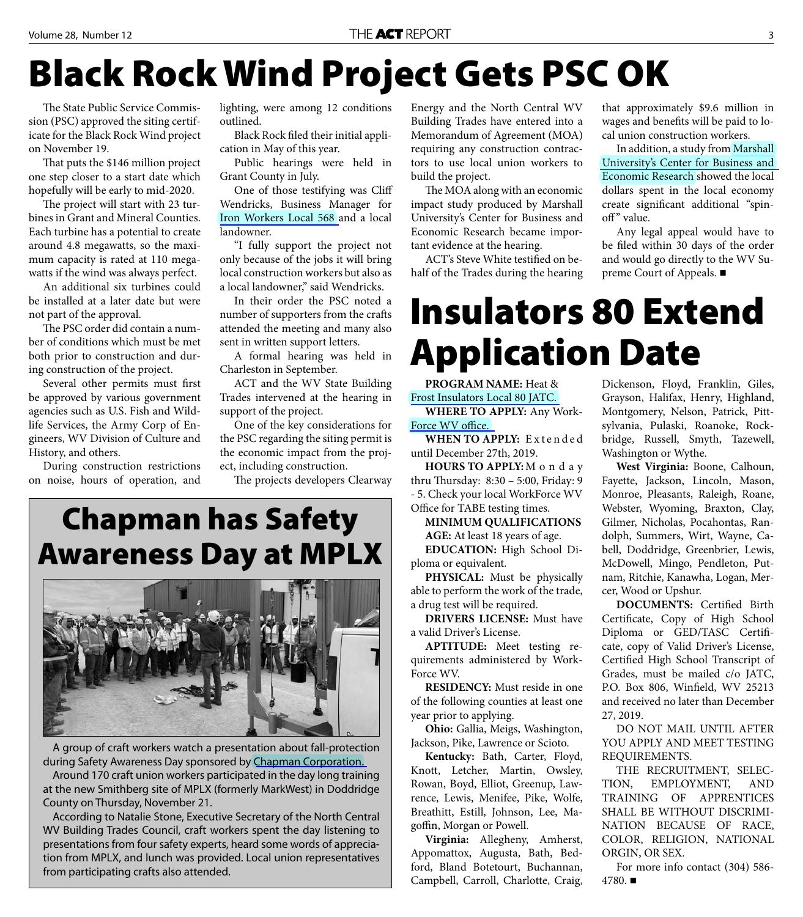## **Black Rock Wind Project Gets PSC OK**

The State Public Service Commission (PSC) approved the siting certificate for the Black Rock Wind project on November 19.

That puts the \$146 million project one step closer to a start date which hopefully will be early to mid-2020.

The project will start with 23 turbines in Grant and Mineral Counties. Each turbine has a potential to create around 4.8 megawatts, so the maximum capacity is rated at 110 megawatts if the wind was always perfect.

An additional six turbines could be installed at a later date but were not part of the approval.

The PSC order did contain a number of conditions which must be met both prior to construction and during construction of the project.

Several other permits must first be approved by various government agencies such as U.S. Fish and Wildlife Services, the Army Corp of Engineers, WV Division of Culture and History, and others.

During construction restrictions on noise, hours of operation, and lighting, were among 12 conditions outlined.

Black Rock filed their initial application in May of this year.

Public hearings were held in Grant County in July.

One of those testifying was Cliff Wendricks, Business Manager for [Iron Workers Local 568 a](http://www.ironworkers568.org/)nd a local landowner.

"I fully support the project not only because of the jobs it will bring local construction workers but also as a local landowner," said Wendricks.

In their order the PSC noted a number of supporters from the crafts attended the meeting and many also sent in written support letters.

A formal hearing was held in Charleston in September.

ACT and the WV State Building Trades intervened at the hearing in support of the project.

One of the key considerations for the PSC regarding the siting permit is the economic impact from the project, including construction.

The projects developers Clearway

#### **Chapman has Safety Awareness Day at MPLX**



A group of craft workers watch a presentation about fall-protection during Safety Awareness Day sponsored by [Chapman Corporation.](http://www.chapmancorporation.com/) 

Around 170 craft union workers participated in the day long training at the new Smithberg site of MPLX (formerly MarkWest) in Doddridge County on Thursday, November 21.

According to Natalie Stone, Executive Secretary of the North Central WV Building Trades Council, craft workers spent the day listening to presentations from four safety experts, heard some words of appreciation from MPLX, and lunch was provided. Local union representatives from participating crafts also attended.

Energy and the North Central WV Building Trades have entered into a Memorandum of Agreement (MOA) requiring any construction contractors to use local union workers to build the project.

The MOA along with an economic impact study produced by Marshall University's Center for Business and Economic Research became important evidence at the hearing.

ACT's Steve White testified on behalf of the Trades during the hearing that approximately \$9.6 million in wages and benefits will be paid to local union construction workers.

In addition, a study from Marshall [University's Center for Business and](http://www.cbermu.org/)  Economic Research showed the local dollars spent in the local economy create significant additional "spinoff" value.

Any legal appeal would have to be filed within 30 days of the order and would go directly to the WV Supreme Court of Appeals. ■

### **Insulators 80 Extend Application Date**

**PROGRAM NAME:** Heat & [Frost Insulators Local 80 JATC.](http://wvapprenticeships.com/insulators-80-apprenticeship/)

**WHERE TO APPLY:** Any Work-Force WV office.

WHEN TO APPLY: Extended until December 27th, 2019.

**HOURS TO APPLY:** M o n d a y thru Thursday: 8:30 - 5:00, Friday: 9 - 5. Check your local WorkForce WV Office for TABE testing times.

**MINIMUM QUALIFICATIONS AGE:** At least 18 years of age. **EDUCATION:** High School Di-

ploma or equivalent. **PHYSICAL:** Must be physically able to perform the work of the trade,

a drug test will be required. **DRIVERS LICENSE:** Must have a valid Driver's License.

**APTITUDE:** Meet testing requirements administered by Work-Force WV.

**RESIDENCY:** Must reside in one of the following counties at least one year prior to applying.

**Ohio:** Gallia, Meigs, Washington, Jackson, Pike, Lawrence or Scioto.

**Kentucky:** Bath, Carter, Floyd, Knott, Letcher, Martin, Owsley, Rowan, Boyd, Elliot, Greenup, Lawrence, Lewis, Menifee, Pike, Wolfe, Breathitt, Estill, Johnson, Lee, Magoffin, Morgan or Powell.

**Virginia:** Allegheny, Amherst, Appomattox, Augusta, Bath, Bedford, Bland Botetourt, Buchannan, Campbell, Carroll, Charlotte, Craig,

Dickenson, Floyd, Franklin, Giles, Grayson, Halifax, Henry, Highland, Montgomery, Nelson, Patrick, Pittsylvania, Pulaski, Roanoke, Rockbridge, Russell, Smyth, Tazewell, Washington or Wythe.

**West Virginia:** Boone, Calhoun, Fayette, Jackson, Lincoln, Mason, Monroe, Pleasants, Raleigh, Roane, Webster, Wyoming, Braxton, Clay, Gilmer, Nicholas, Pocahontas, Randolph, Summers, Wirt, Wayne, Cabell, Doddridge, Greenbrier, Lewis, McDowell, Mingo, Pendleton, Putnam, Ritchie, Kanawha, Logan, Mercer, Wood or Upshur.

**DOCUMENTS:** Certified Birth Certificate, Copy of High School Diploma or GED/TASC Certificate, copy of Valid Driver's License, Certified High School Transcript of Grades, must be mailed c/o JATC, P.O. Box 806, Winfield, WV 25213 and received no later than December 27, 2019.

DO NOT MAIL UNTIL AFTER YOU APPLY AND MEET TESTING REQUIREMENTS.

THE RECRUITMENT, SELEC-TION, EMPLOYMENT, AND TRAINING OF APPRENTICES SHALL BE WITHOUT DISCRIMI-NATION BECAUSE OF RACE, COLOR, RELIGION, NATIONAL ORGIN, OR SEX.

For more info contact (304) 586- 4780.■